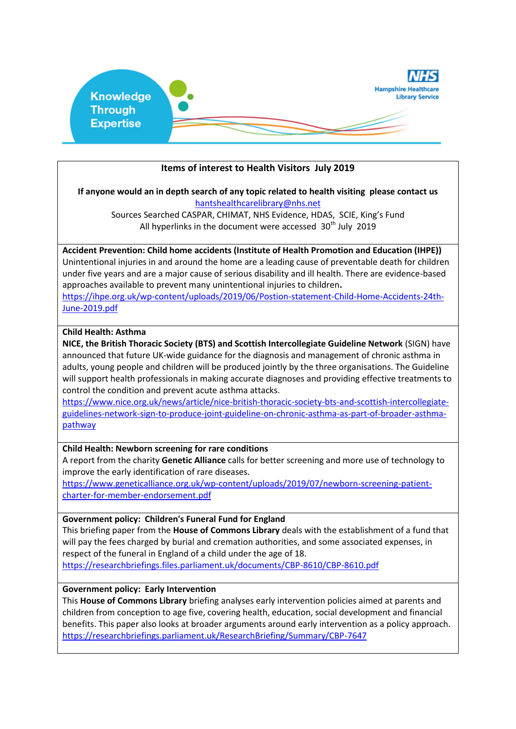

## **Items of interest to Health Visitors July 2019**

### **If anyone would an in depth search of any topic related to health visiting please contact us** [hantshealthcarelibrary@nhs.net](mailto:hantshealthcarelibrary@nhs.net)

Sources Searched CASPAR, CHIMAT, NHS Evidence, HDAS, SCIE, King's Fund All hyperlinks in the document were accessed  $30<sup>th</sup>$  July 2019

# **Accident Prevention: Child home accidents (Institute of Health Promotion and Education (IHPE))**

Unintentional injuries in and around the home are a leading cause of preventable death for children under five years and are a major cause of serious disability and ill health. There are evidence-based approaches available to prevent many unintentional injuries to children**.**

[https://ihpe.org.uk/wp-content/uploads/2019/06/Postion-statement-Child-Home-Accidents-24th-](https://ihpe.org.uk/wp-content/uploads/2019/06/Postion-statement-Child-Home-Accidents-24th-June-2019.pdf)[June-2019.pdf](https://ihpe.org.uk/wp-content/uploads/2019/06/Postion-statement-Child-Home-Accidents-24th-June-2019.pdf)

### **Child Health: Asthma**

**NICE, the British Thoracic Society (BTS) and Scottish Intercollegiate Guideline Network** (SIGN) have announced that future UK-wide guidance for the diagnosis and management of chronic asthma in adults, young people and children will be produced jointly by the three organisations. The Guideline will support health professionals in making accurate diagnoses and providing effective treatments to control the condition and prevent acute asthma attacks.

[https://www.nice.org.uk/news/article/nice-british-thoracic-society-bts-and-scottish-intercollegiate](https://www.nice.org.uk/news/article/nice-british-thoracic-society-bts-and-scottish-intercollegiate-guidelines-network-sign-to-produce-joint-guideline-on-chronic-asthma-as-part-of-broader-asthma-pathway)[guidelines-network-sign-to-produce-joint-guideline-on-chronic-asthma-as-part-of-broader-asthma](https://www.nice.org.uk/news/article/nice-british-thoracic-society-bts-and-scottish-intercollegiate-guidelines-network-sign-to-produce-joint-guideline-on-chronic-asthma-as-part-of-broader-asthma-pathway)[pathway](https://www.nice.org.uk/news/article/nice-british-thoracic-society-bts-and-scottish-intercollegiate-guidelines-network-sign-to-produce-joint-guideline-on-chronic-asthma-as-part-of-broader-asthma-pathway)

## **Child Health: Newborn screening for rare conditions**

A report from the charity **Genetic Alliance** calls for better screening and more use of technology to improve the early identification of rare diseases.

[https://www.geneticalliance.org.uk/wp-content/uploads/2019/07/newborn-screening-patient](https://www.geneticalliance.org.uk/wp-content/uploads/2019/07/newborn-screening-patient-charter-for-member-endorsement.pdf)[charter-for-member-endorsement.pdf](https://www.geneticalliance.org.uk/wp-content/uploads/2019/07/newborn-screening-patient-charter-for-member-endorsement.pdf)

#### **Government policy: Children's Funeral Fund for England**

This briefing paper from the **House of Commons Library** deals with the establishment of a fund that will pay the fees charged by burial and cremation authorities, and some associated expenses, in respect of the funeral in England of a child under the age of 18. <https://researchbriefings.files.parliament.uk/documents/CBP-8610/CBP-8610.pdf>

#### **Government policy: Early Intervention**

This **House of Commons Library** briefing analyses early intervention policies aimed at parents and children from conception to age five, covering health, education, social development and financial benefits. This paper also looks at broader arguments around early intervention as a policy approach. <https://researchbriefings.parliament.uk/ResearchBriefing/Summary/CBP-7647>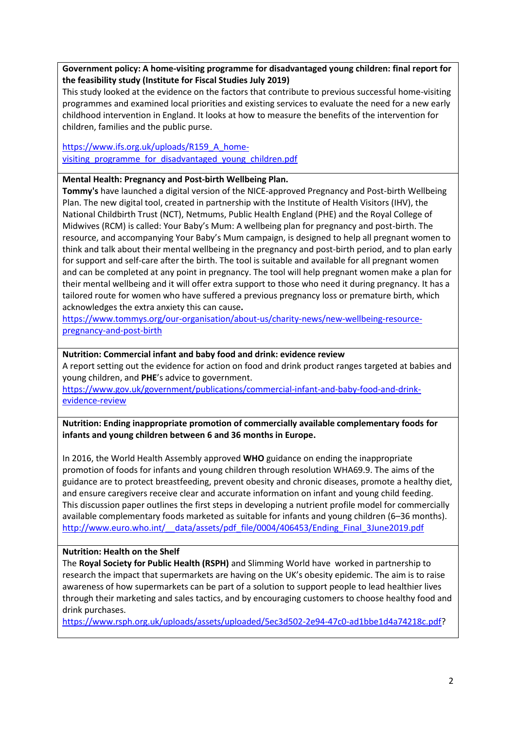**Government policy: A home-visiting programme for disadvantaged young children: final report for the feasibility study (Institute for Fiscal Studies July 2019)**

This study looked at the evidence on the factors that contribute to previous successful home-visiting programmes and examined local priorities and existing services to evaluate the need for a new early childhood intervention in England. It looks at how to measure the benefits of the intervention for children, families and the public purse.

[https://www.ifs.org.uk/uploads/R159\\_A\\_home](https://www.ifs.org.uk/uploads/R159_A_home-visiting_programme_for_disadvantaged_young_children.pdf)visiting programme for disadvantaged young children.pdf

### **Mental Health: Pregnancy and Post-birth Wellbeing Plan.**

**Tommy's** have launched a digital version of the NICE-approved Pregnancy and Post-birth Wellbeing Plan. The new digital tool, created in partnership with the Institute of Health Visitors (IHV), the National Childbirth Trust (NCT), Netmums, Public Health England (PHE) and the Royal College of Midwives (RCM) is called: Your Baby's Mum: A wellbeing plan for pregnancy and post-birth. The resource, and accompanying Your Baby's Mum campaign, is designed to help all pregnant women to think and talk about their mental wellbeing in the pregnancy and post-birth period, and to plan early for support and self-care after the birth. The tool is suitable and available for all pregnant women and can be completed at any point in pregnancy. The tool will help pregnant women make a plan for their mental wellbeing and it will offer extra support to those who need it during pregnancy. It has a tailored route for women who have suffered a previous pregnancy loss or premature birth, which acknowledges the extra anxiety this can cause**.**

[https://www.tommys.org/our-organisation/about-us/charity-news/new-wellbeing-resource](https://www.tommys.org/our-organisation/about-us/charity-news/new-wellbeing-resource-pregnancy-and-post-birth)[pregnancy-and-post-birth](https://www.tommys.org/our-organisation/about-us/charity-news/new-wellbeing-resource-pregnancy-and-post-birth)

### **Nutrition: Commercial infant and baby food and drink: evidence review**

A report setting out the evidence for action on food and drink product ranges targeted at babies and young children, and **PHE**'s advice to government.

[https://www.gov.uk/government/publications/commercial-infant-and-baby-food-and-drink](https://www.gov.uk/government/publications/commercial-infant-and-baby-food-and-drink-evidence-review)[evidence-review](https://www.gov.uk/government/publications/commercial-infant-and-baby-food-and-drink-evidence-review)

**Nutrition: Ending inappropriate promotion of commercially available complementary foods for infants and young children between 6 and 36 months in Europe.** 

In 2016, the World Health Assembly approved **WHO** guidance on ending the inappropriate promotion of foods for infants and young children through resolution WHA69.9. The aims of the guidance are to protect breastfeeding, prevent obesity and chronic diseases, promote a healthy diet, and ensure caregivers receive clear and accurate information on infant and young child feeding. This discussion paper outlines the first steps in developing a nutrient profile model for commercially available complementary foods marketed as suitable for infants and young children (6–36 months). http://www.euro.who.int/ data/assets/pdf file/0004/406453/Ending Final 3June2019.pdf

#### **Nutrition: Health on the Shelf**

The **Royal Society for Public Health (RSPH)** and Slimming World have worked in partnership to research the impact that supermarkets are having on the UK's obesity epidemic. The aim is to raise awareness of how supermarkets can be part of a solution to support people to lead healthier lives through their marketing and sales tactics, and by encouraging customers to choose healthy food and drink purchases.

[https://www.rsph.org.uk/uploads/assets/uploaded/5ec3d502-2e94-47c0-ad1bbe1d4a74218c.pdf?](https://www.rsph.org.uk/uploads/assets/uploaded/5ec3d502-2e94-47c0-ad1bbe1d4a74218c.pdf)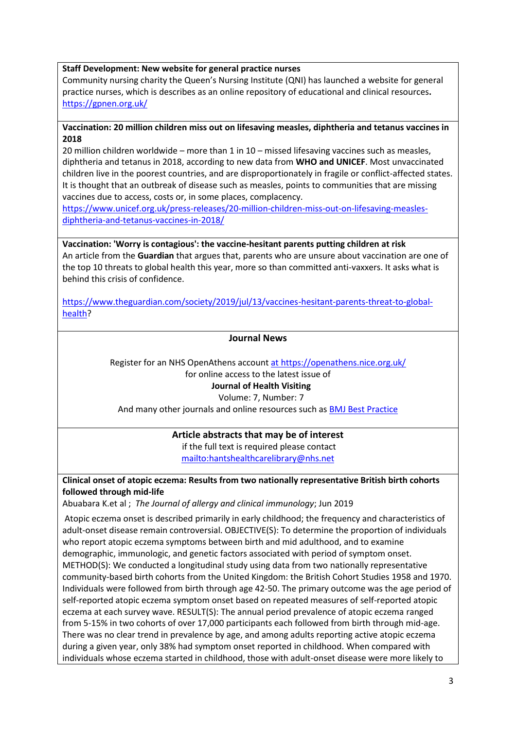### **Staff Development: New website for general practice nurses**

Community nursing charity the Queen's Nursing Institute (QNI) has launched a website for general practice nurses, which is describes as an online repository of educational and clinical resources**.** <https://gpnen.org.uk/>

### **Vaccination: 20 million children miss out on lifesaving measles, diphtheria and tetanus vaccines in 2018**

20 million children worldwide – more than 1 in 10 – missed lifesaving vaccines such as measles, diphtheria and tetanus in 2018, according to new data from **WHO and UNICEF**. Most unvaccinated children live in the poorest countries, and are disproportionately in fragile or conflict-affected states. It is thought that an outbreak of disease such as measles, points to communities that are missing vaccines due to access, costs or, in some places, complacency.

[https://www.unicef.org.uk/press-releases/20-million-children-miss-out-on-lifesaving-measles](https://www.unicef.org.uk/press-releases/20-million-children-miss-out-on-lifesaving-measles-diphtheria-and-tetanus-vaccines-in-2018/)[diphtheria-and-tetanus-vaccines-in-2018/](https://www.unicef.org.uk/press-releases/20-million-children-miss-out-on-lifesaving-measles-diphtheria-and-tetanus-vaccines-in-2018/)

# **Vaccination: 'Worry is contagious': the vaccine-hesitant parents putting children at risk**

An article from the **Guardian** that argues that, parents who are unsure about vaccination are one of the top 10 threats to global health this year, more so than committed anti-vaxxers. It asks what is behind this crisis of confidence.

[https://www.theguardian.com/society/2019/jul/13/vaccines-hesitant-parents-threat-to-global](https://www.theguardian.com/society/2019/jul/13/vaccines-hesitant-parents-threat-to-global-health)[health?](https://www.theguardian.com/society/2019/jul/13/vaccines-hesitant-parents-threat-to-global-health)

## **Journal News**

Register for an NHS OpenAthens accoun[t at https://openathens.nice.org.uk/](https://openathens.nice.org.uk/) for online access to the latest issue of

## **Journal of Health Visiting**

## Volume: 7, Number: 7

And many other journals and online resources such as [BMJ Best Practice](https://bestpractice.bmj.com/)

# **Article abstracts that may be of interest**

if the full text is required please contact <mailto:hantshealthcarelibrary@nhs.net>

**Clinical onset of atopic eczema: Results from two nationally representative British birth cohorts followed through mid-life**

Abuabara K.et al ; *The Journal of allergy and clinical immunology*; Jun 2019

Atopic eczema onset is described primarily in early childhood; the frequency and characteristics of adult-onset disease remain controversial. OBJECTIVE(S): To determine the proportion of individuals who report atopic eczema symptoms between birth and mid adulthood, and to examine demographic, immunologic, and genetic factors associated with period of symptom onset. METHOD(S): We conducted a longitudinal study using data from two nationally representative community-based birth cohorts from the United Kingdom: the British Cohort Studies 1958 and 1970. Individuals were followed from birth through age 42-50. The primary outcome was the age period of self-reported atopic eczema symptom onset based on repeated measures of self-reported atopic eczema at each survey wave. RESULT(S): The annual period prevalence of atopic eczema ranged from 5-15% in two cohorts of over 17,000 participants each followed from birth through mid-age. There was no clear trend in prevalence by age, and among adults reporting active atopic eczema during a given year, only 38% had symptom onset reported in childhood. When compared with individuals whose eczema started in childhood, those with adult-onset disease were more likely to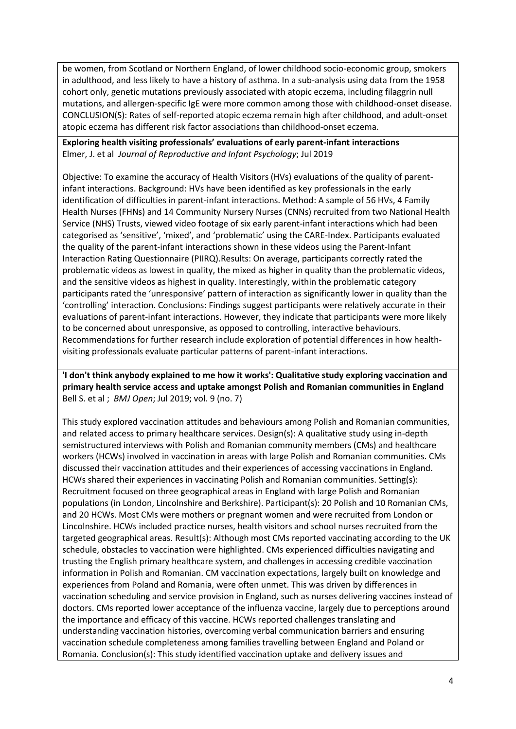be women, from Scotland or Northern England, of lower childhood socio-economic group, smokers in adulthood, and less likely to have a history of asthma. In a sub-analysis using data from the 1958 cohort only, genetic mutations previously associated with atopic eczema, including filaggrin null mutations, and allergen-specific IgE were more common among those with childhood-onset disease. CONCLUSION(S): Rates of self-reported atopic eczema remain high after childhood, and adult-onset atopic eczema has different risk factor associations than childhood-onset eczema.

**Exploring health visiting professionals' evaluations of early parent-infant interactions** Elmer, J. et al *Journal of Reproductive and Infant Psychology*; Jul 2019

Objective: To examine the accuracy of Health Visitors (HVs) evaluations of the quality of parentinfant interactions. Background: HVs have been identified as key professionals in the early identification of difficulties in parent-infant interactions. Method: A sample of 56 HVs, 4 Family Health Nurses (FHNs) and 14 Community Nursery Nurses (CNNs) recruited from two National Health Service (NHS) Trusts, viewed video footage of six early parent-infant interactions which had been categorised as 'sensitive', 'mixed', and 'problematic' using the CARE-Index. Participants evaluated the quality of the parent-infant interactions shown in these videos using the Parent-Infant Interaction Rating Questionnaire (PIIRQ).Results: On average, participants correctly rated the problematic videos as lowest in quality, the mixed as higher in quality than the problematic videos, and the sensitive videos as highest in quality. Interestingly, within the problematic category participants rated the 'unresponsive' pattern of interaction as significantly lower in quality than the 'controlling' interaction. Conclusions: Findings suggest participants were relatively accurate in their evaluations of parent-infant interactions. However, they indicate that participants were more likely to be concerned about unresponsive, as opposed to controlling, interactive behaviours. Recommendations for further research include exploration of potential differences in how healthvisiting professionals evaluate particular patterns of parent-infant interactions.

**'I don't think anybody explained to me how it works': Qualitative study exploring vaccination and primary health service access and uptake amongst Polish and Romanian communities in England** Bell S. et al ; *BMJ Open*; Jul 2019; vol. 9 (no. 7)

This study explored vaccination attitudes and behaviours among Polish and Romanian communities, and related access to primary healthcare services. Design(s): A qualitative study using in-depth semistructured interviews with Polish and Romanian community members (CMs) and healthcare workers (HCWs) involved in vaccination in areas with large Polish and Romanian communities. CMs discussed their vaccination attitudes and their experiences of accessing vaccinations in England. HCWs shared their experiences in vaccinating Polish and Romanian communities. Setting(s): Recruitment focused on three geographical areas in England with large Polish and Romanian populations (in London, Lincolnshire and Berkshire). Participant(s): 20 Polish and 10 Romanian CMs, and 20 HCWs. Most CMs were mothers or pregnant women and were recruited from London or Lincolnshire. HCWs included practice nurses, health visitors and school nurses recruited from the targeted geographical areas. Result(s): Although most CMs reported vaccinating according to the UK schedule, obstacles to vaccination were highlighted. CMs experienced difficulties navigating and trusting the English primary healthcare system, and challenges in accessing credible vaccination information in Polish and Romanian. CM vaccination expectations, largely built on knowledge and experiences from Poland and Romania, were often unmet. This was driven by differences in vaccination scheduling and service provision in England, such as nurses delivering vaccines instead of doctors. CMs reported lower acceptance of the influenza vaccine, largely due to perceptions around the importance and efficacy of this vaccine. HCWs reported challenges translating and understanding vaccination histories, overcoming verbal communication barriers and ensuring vaccination schedule completeness among families travelling between England and Poland or Romania. Conclusion(s): This study identified vaccination uptake and delivery issues and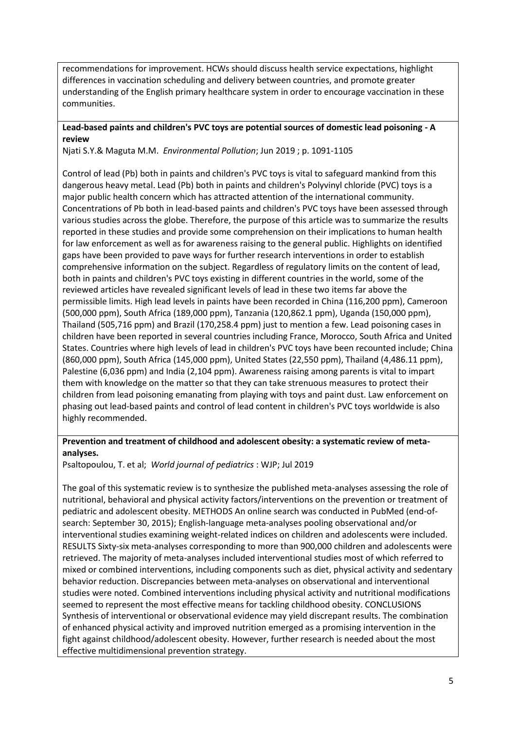recommendations for improvement. HCWs should discuss health service expectations, highlight differences in vaccination scheduling and delivery between countries, and promote greater understanding of the English primary healthcare system in order to encourage vaccination in these communities.

### **Lead-based paints and children's PVC toys are potential sources of domestic lead poisoning - A review**

Njati S.Y.& Maguta M.M. *Environmental Pollution*; Jun 2019 ; p. 1091-1105

Control of lead (Pb) both in paints and children's PVC toys is vital to safeguard mankind from this dangerous heavy metal. Lead (Pb) both in paints and children's Polyvinyl chloride (PVC) toys is a major public health concern which has attracted attention of the international community. Concentrations of Pb both in lead-based paints and children's PVC toys have been assessed through various studies across the globe. Therefore, the purpose of this article was to summarize the results reported in these studies and provide some comprehension on their implications to human health for law enforcement as well as for awareness raising to the general public. Highlights on identified gaps have been provided to pave ways for further research interventions in order to establish comprehensive information on the subject. Regardless of regulatory limits on the content of lead, both in paints and children's PVC toys existing in different countries in the world, some of the reviewed articles have revealed significant levels of lead in these two items far above the permissible limits. High lead levels in paints have been recorded in China (116,200 ppm), Cameroon (500,000 ppm), South Africa (189,000 ppm), Tanzania (120,862.1 ppm), Uganda (150,000 ppm), Thailand (505,716 ppm) and Brazil (170,258.4 ppm) just to mention a few. Lead poisoning cases in children have been reported in several countries including France, Morocco, South Africa and United States. Countries where high levels of lead in children's PVC toys have been recounted include; China (860,000 ppm), South Africa (145,000 ppm), United States (22,550 ppm), Thailand (4,486.11 ppm), Palestine (6,036 ppm) and India (2,104 ppm). Awareness raising among parents is vital to impart them with knowledge on the matter so that they can take strenuous measures to protect their children from lead poisoning emanating from playing with toys and paint dust. Law enforcement on phasing out lead-based paints and control of lead content in children's PVC toys worldwide is also highly recommended.

## **Prevention and treatment of childhood and adolescent obesity: a systematic review of metaanalyses.**

Psaltopoulou, T. et al; *World journal of pediatrics* : WJP; Jul 2019

The goal of this systematic review is to synthesize the published meta-analyses assessing the role of nutritional, behavioral and physical activity factors/interventions on the prevention or treatment of pediatric and adolescent obesity. METHODS An online search was conducted in PubMed (end-ofsearch: September 30, 2015); English-language meta-analyses pooling observational and/or interventional studies examining weight-related indices on children and adolescents were included. RESULTS Sixty-six meta-analyses corresponding to more than 900,000 children and adolescents were retrieved. The majority of meta-analyses included interventional studies most of which referred to mixed or combined interventions, including components such as diet, physical activity and sedentary behavior reduction. Discrepancies between meta-analyses on observational and interventional studies were noted. Combined interventions including physical activity and nutritional modifications seemed to represent the most effective means for tackling childhood obesity. CONCLUSIONS Synthesis of interventional or observational evidence may yield discrepant results. The combination of enhanced physical activity and improved nutrition emerged as a promising intervention in the fight against childhood/adolescent obesity. However, further research is needed about the most effective multidimensional prevention strategy.